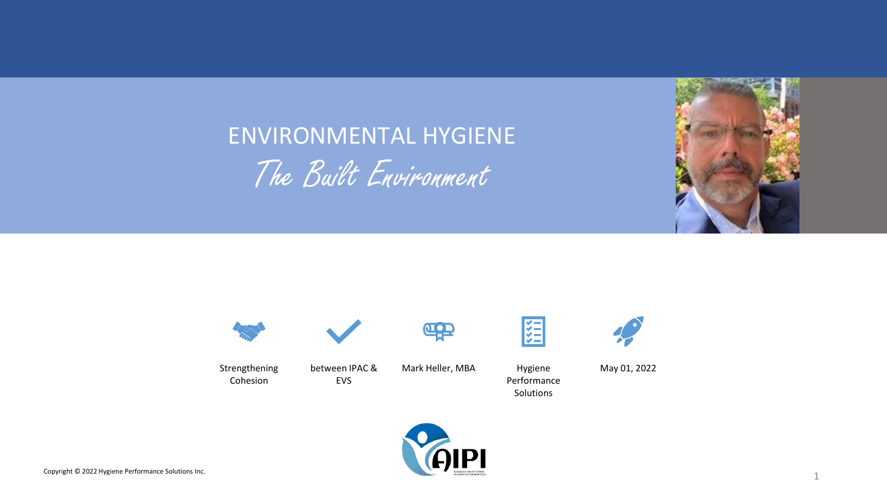

## ENVIRONMENTAL HYGIENE The Built Environment



Strengthening Cohesion

between IPAC & EVS

Mark Heller, MBA Hygiene

 $\underline{\mathbf{u}}$ 



Performance Solutions



May 01, 2022

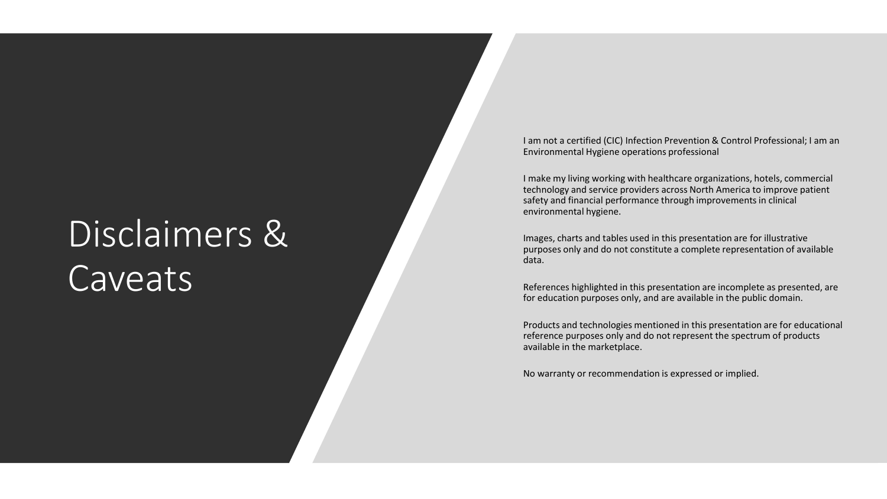# Disclaimers & Caveats

I am not a certified (CIC) Infection Prevention & Control Professional; I am an Environmental Hygiene operations professional

I make my living working with healthcare organizations, hotels, commercial technology and service providers across North America to improve patient safety and financial performance through improvements in clinical environmental hygiene.

Images, charts and tables used in this presentation are for illustrative purposes only and do not constitute a complete representation of available data.

References highlighted in this presentation are incomplete as presented, are for education purposes only, and are available in the public domain.

Products and technologies mentioned in this presentation are for educational reference purposes only and do not represent the spectrum of products available in the marketplace.

No warranty or recommendation is expressed or implied.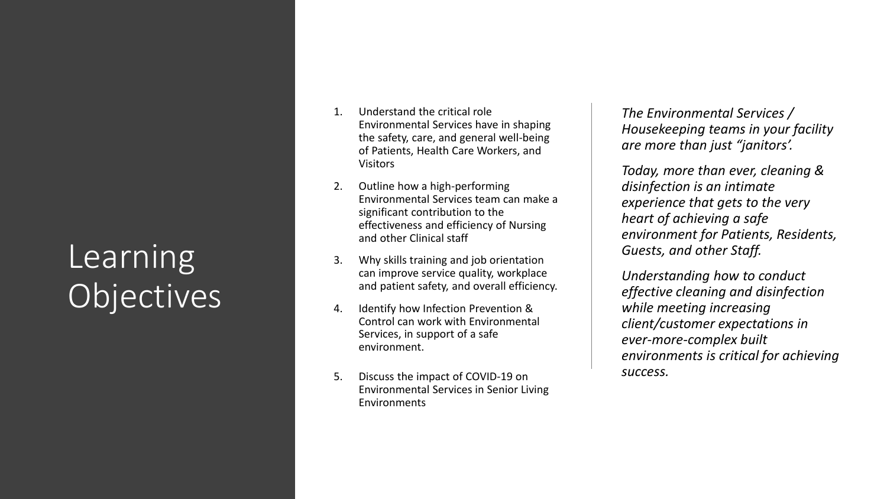## Learning Objectives

- 1. Understand the critical role Environmental Services have in shaping the safety, care, and general well -being of Patients, Health Care Workers, and Visitors
- 2. Outline how a high -performing Environmental Services team can make a significant contribution to the effectiveness and efficiency of Nursing and other Clinical staff
- 3. Why skills training and job orientation can improve service quality, workplace and patient safety, and overall efficiency.
- 4. Identify how Infection Prevention & Control can work with Environmental Services, in support of a safe environment.
- 5. Discuss the impact of COVID -19 on Environmental Services in Senior Living Environments

*The Environmental Services / Housekeeping teams in your facility are more than just "janitors'.* 

*Today, more than ever, cleaning & disinfection is an intimate experience that gets to the very heart of achieving a safe environment for Patients, Residents, Guests, and other Staff.* 

*Understanding how to conduct effective cleaning and disinfection while meeting increasing client/customer expectations in ever -more -complex built environments is critical for achieving success.*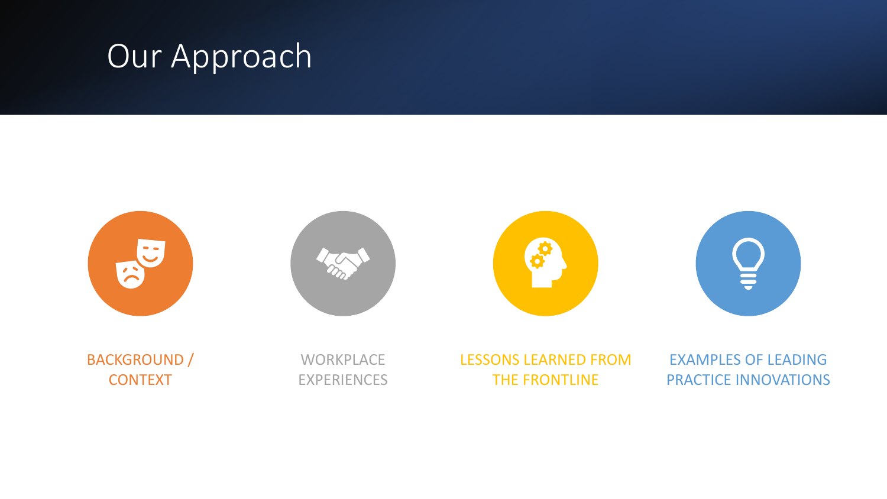## Our Approach

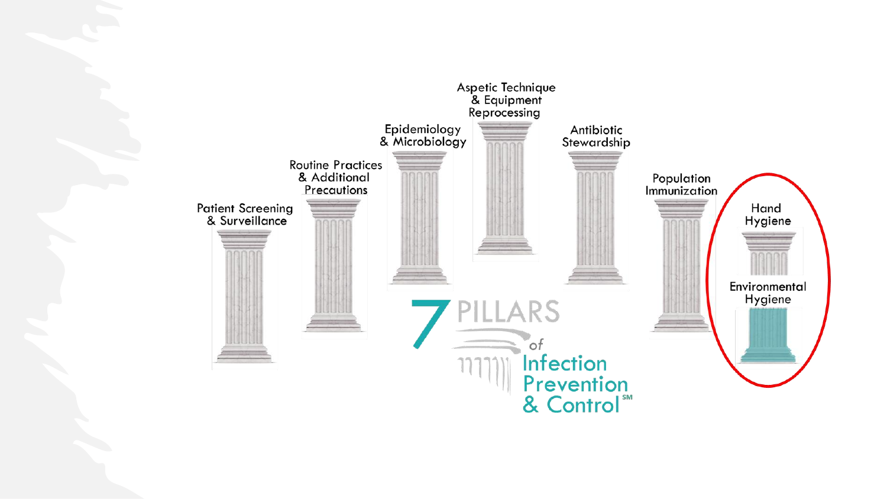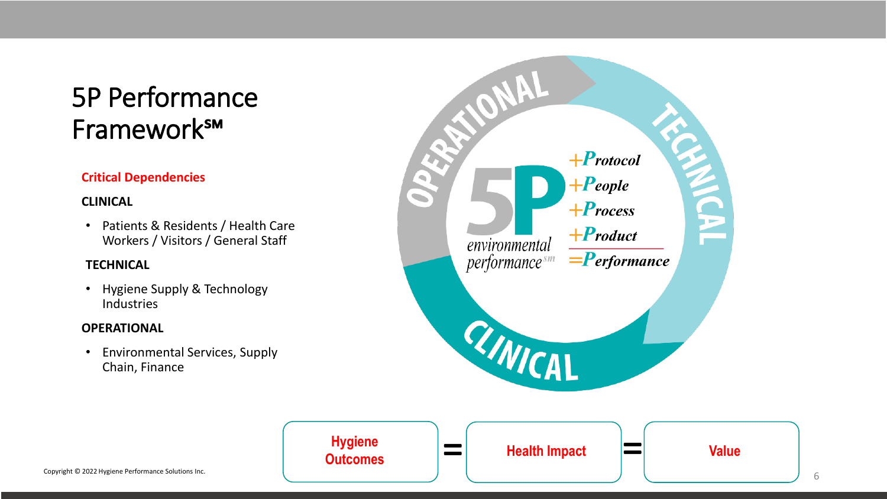### 5P Performance Framework℠

### **Critical Dependencies**

#### **CLINICAL**

• Patients & Residents / Health Care Workers / Visitors / General Staff

#### **TECHNICAL**

• Hygiene Supply & Technology Industries

#### **OPERATIONAL**

• Environmental Services, Supply Chain, Finance

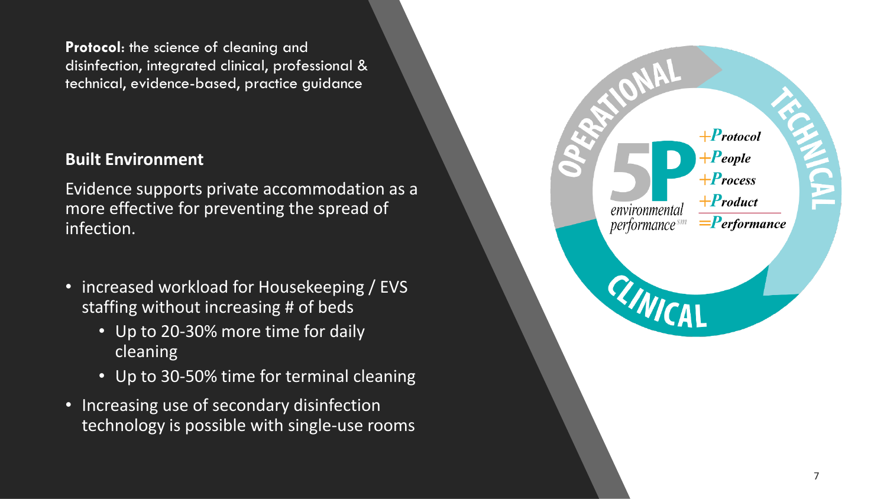**Protocol**: the science of cleaning and disinfection, integrated clinical, professional & technical, evidence-based, practice guidance

### **Built Environment**

Evidence supports private accommodation as a more effective for preventing the spread of infection.

- increased workload for Housekeeping / EVS staffing without increasing # of beds
	- Up to 20-30% more time for daily cleaning
	- Up to 30-50% time for terminal cleaning
- Increasing use of secondary disinfection technology is possible with single-use rooms

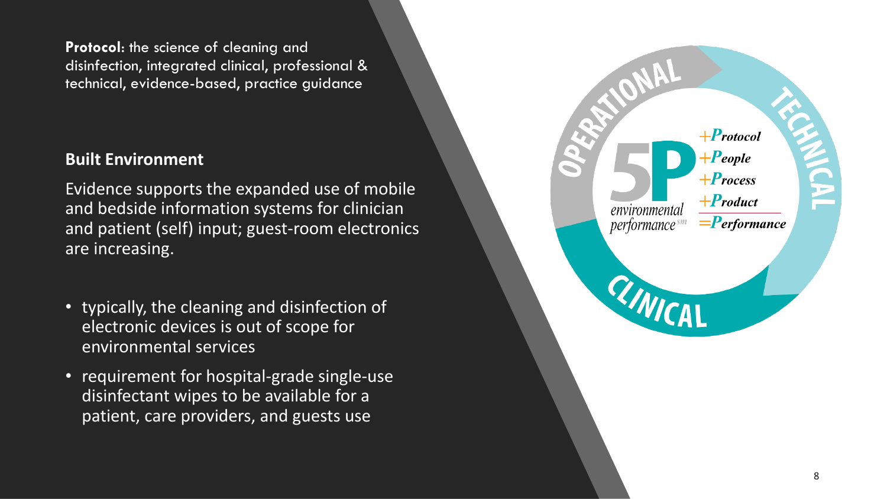**Protocol**: the science of cleaning and disinfection, integrated clinical, professional & technical, evidence-based, practice guidance

### **Built Environment**

Evidence supports the expanded use of mobile and bedside information systems for clinician and patient (self) input; guest-room electronics are increasing.

- typically, the cleaning and disinfection of electronic devices is out of scope for environmental services
- requirement for hospital-grade single-use disinfectant wipes to be available for a patient, care providers, and guests use

| $\blacksquare$ |                                     | $+$ Protocol<br>$+$ People<br>$+$ Process |  |
|----------------|-------------------------------------|-------------------------------------------|--|
|                | environmental<br>$performance^{sm}$ | $+$ Product<br>$=$ <b>P</b> erformance    |  |
|                | WICAL                               |                                           |  |
|                |                                     |                                           |  |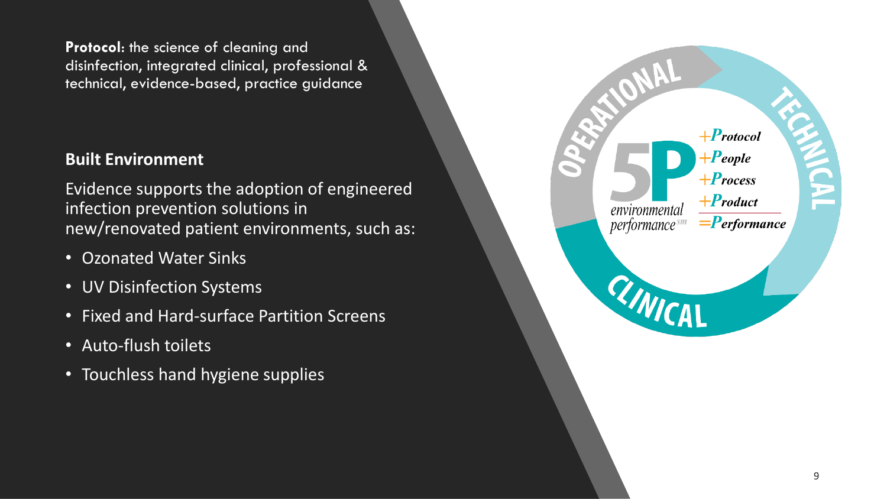**Protocol**: the science of cleaning and disinfection, integrated clinical, professional & technical, evidence-based, practice guidance

### **Built Environment**

Evidence supports the adoption of engineered infection prevention solutions in new/renovated patient environments, such as:

- Ozonated Water Sinks
- UV Disinfection Systems
- Fixed and Hard-surface Partition Screens
- Auto-flush toilets
- Touchless hand hygiene supplies

|                                    | $+$ Protocol<br>$+$ <b>P</b> eople<br>$+$ Process |  |
|------------------------------------|---------------------------------------------------|--|
| environmental<br>performance $s^m$ | $+$ <b>P</b> roduct<br>$=$ <b>P</b> erformance    |  |
| RINICAL                            |                                                   |  |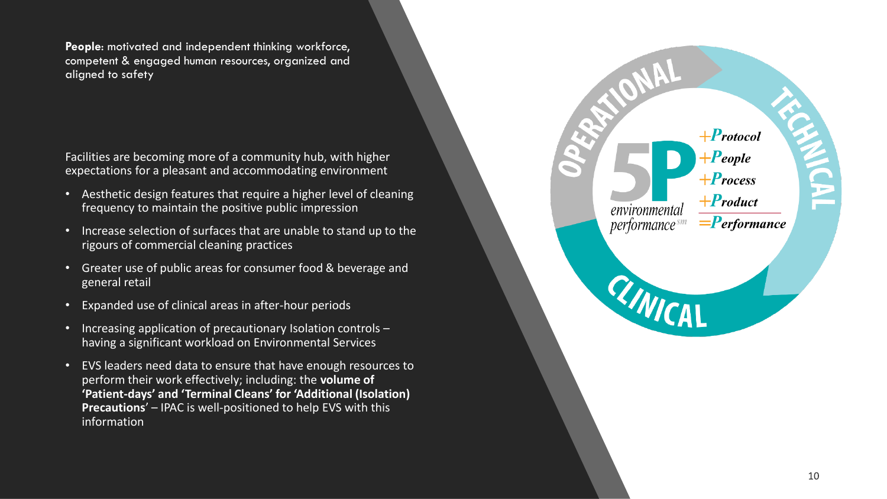**People**: motivated and independent thinking workforce, competent & engaged human resources, organized and aligned to safety

Facilities are becoming more of a community hub, with higher expectations for a pleasant and accommodating environment

- Aesthetic design features that require a higher level of cleaning frequency to maintain the positive public impression
- Increase selection of surfaces that are unable to stand up to the rigours of commercial cleaning practices
- Greater use of public areas for consumer food & beverage and general retail
- Expanded use of clinical areas in after-hour periods
- Increasing application of precautionary Isolation controls having a significant workload on Environmental Services
- EVS leaders need data to ensure that have enough resources to perform their work effectively; including: the **volume of 'Patient-days' and 'Terminal Cleans' for 'Additional (Isolation) Precautions**' – IPAC is well-positioned to help EVS with this information

| $\overline{\phantom{a}}$ |                                            | $+$ Protocol<br>$+$ <b>P</b> eople<br>$+$ Process<br>$+$ <b>P</b> roduct |  |
|--------------------------|--------------------------------------------|--------------------------------------------------------------------------|--|
|                          | environmental<br>performance <sup>sm</sup> | $=$ <b>P</b> erformance                                                  |  |
|                          | RINICAL                                    |                                                                          |  |
|                          |                                            |                                                                          |  |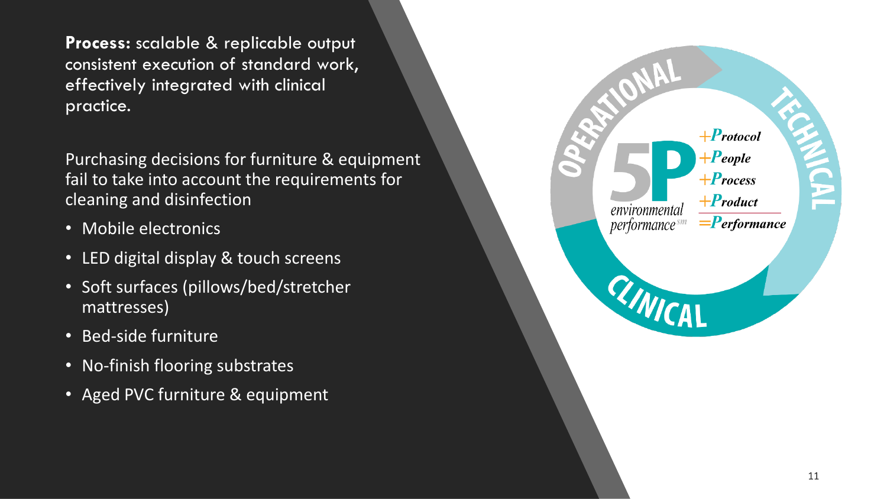**Process:** scalable & replicable output consistent execution of standard work, effectively integrated with clinical practice.

Purchasing decisions for furniture & equipment fail to take into account the requirements for cleaning and disinfection

- Mobile electronics
- LED digital display & touch screens
- Soft surfaces (pillows/bed/stretcher mattresses)
- Bed-side furniture
- No-finish flooring substrates
- Aged PVC furniture & equipment

|                                            | $+$ Protocol<br>$+$ <b>P</b> eople<br>$+$ Process |  |
|--------------------------------------------|---------------------------------------------------|--|
| environmental<br>performance <sup>sm</sup> | $+$ <b>P</b> roduct<br>$=$ <b>P</b> erformance    |  |
| RINICAL                                    |                                                   |  |
|                                            |                                                   |  |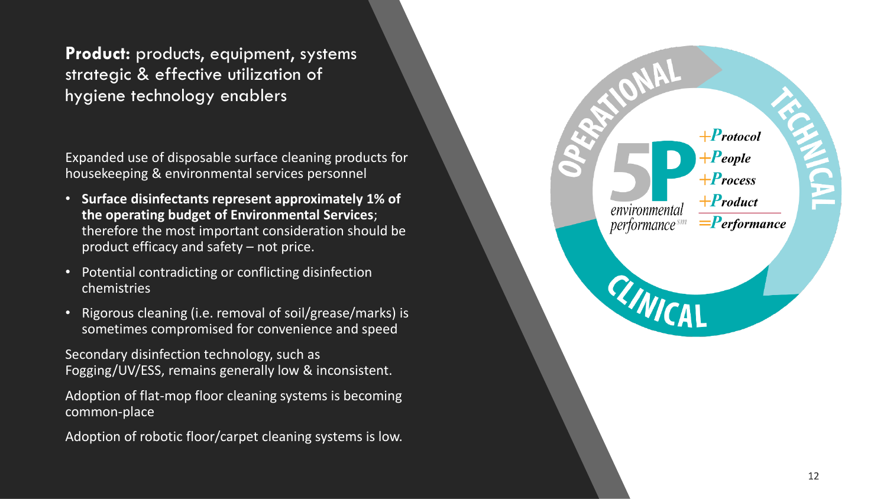**Product:** products, equipment, systems strategic & effective utilization of hygiene technology enablers

Expanded use of disposable surface cleaning products for housekeeping & environmental services personnel

- **Surface disinfectants represent approximately 1% of the operating budget of Environmental Services**; therefore the most important consideration should be product efficacy and safety – not price.
- Potential contradicting or conflicting disinfection chemistries
- Rigorous cleaning (i.e. removal of soil/grease/marks) is sometimes compromised for convenience and speed

Secondary disinfection technology, such as Fogging/UV/ESS, remains generally low & inconsistent.

Adoption of flat-mop floor cleaning systems is becoming common-place

Adoption of robotic floor/carpet cleaning systems is low.

| environmental                        | $+$ Protocol<br>$+$ People<br>$+$ Process<br>$+$ Product |  |
|--------------------------------------|----------------------------------------------------------|--|
| performance <sup>sm</sup><br>RINICAL | $=$ <b>P</b> erformance                                  |  |
|                                      |                                                          |  |
|                                      |                                                          |  |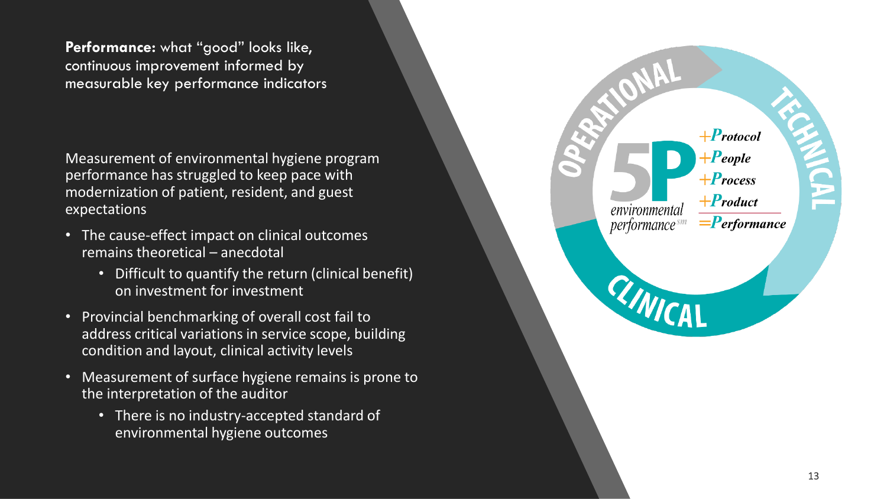**Performance:** what "good" looks like, continuous improvement informed by measurable key performance indicators

Measurement of environmental hygiene program performance has struggled to keep pace with modernization of patient, resident, and guest expectations

- The cause-effect impact on clinical outcomes remains theoretical – anecdotal
	- Difficult to quantify the return (clinical benefit) on investment for investment
- Provincial benchmarking of overall cost fail to address critical variations in service scope, building condition and layout, clinical activity levels
- Measurement of surface hygiene remains is prone to the interpretation of the auditor
	- There is no industry-accepted standard of environmental hygiene outcomes

| $\sum_{i=1}^{n}$<br>$\overline{\phantom{0}}$<br>environmental<br>performance <sup>sm</sup> | $+$ Protocol<br>$+$ People<br>$+$ Process<br>$+$ <b>P</b> roduct<br>$=$ <b>P</b> erformance |
|--------------------------------------------------------------------------------------------|---------------------------------------------------------------------------------------------|
| RINICAL                                                                                    |                                                                                             |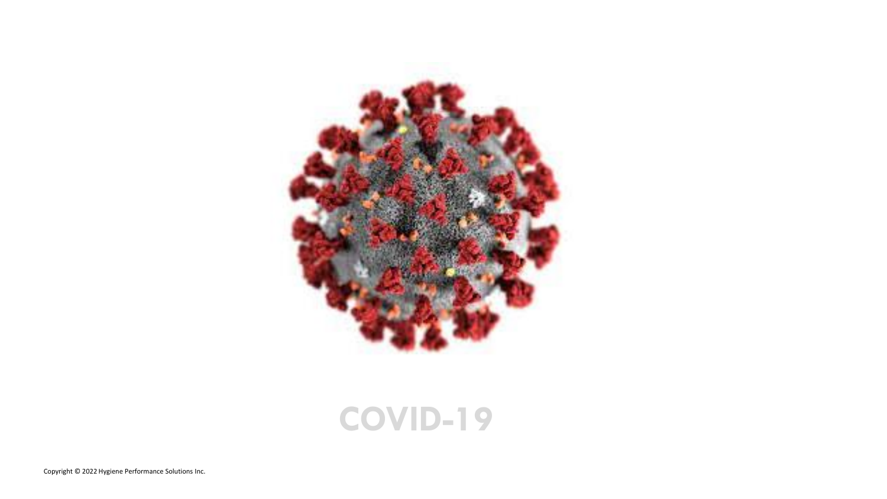

### **COVID-19**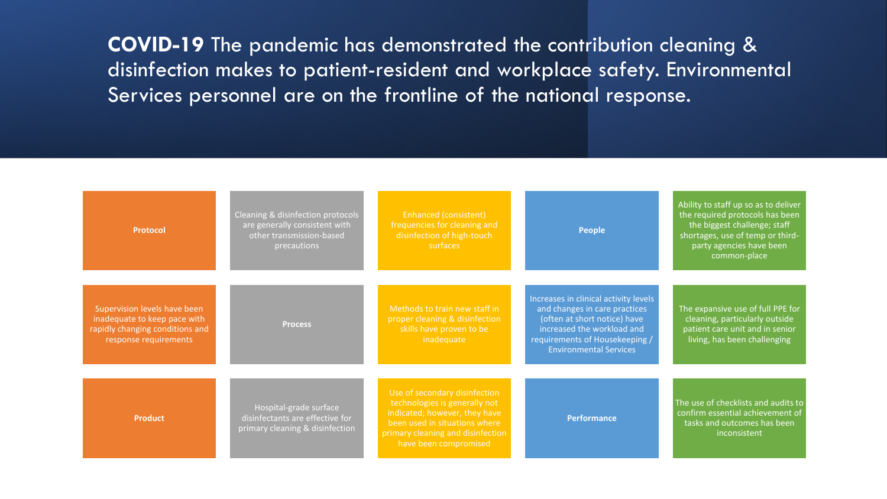**COVID-19** The pandemic has demonstrated the contribution cleaning & disinfection makes to patient-resident and workplace safety. Environmental Services personnel are on the frontline of the national response.

| <b>Protocol</b>                                                                                                          | Cleaning & disinfection protocols<br>are generally consistent with<br>other transmission-based<br>precautions | Enhanced (consistent)<br>frequencies for cleaning and<br>disinfection of high-touch<br>surfaces                                                                                                | <b>People</b>                                                                                                                                                                                           | Ability to staff up so as to deliver<br>the required protocols has been<br>the biggest challenge; staff<br>shortages, use of temp or third-<br>party agencies have been<br>common-place |
|--------------------------------------------------------------------------------------------------------------------------|---------------------------------------------------------------------------------------------------------------|------------------------------------------------------------------------------------------------------------------------------------------------------------------------------------------------|---------------------------------------------------------------------------------------------------------------------------------------------------------------------------------------------------------|-----------------------------------------------------------------------------------------------------------------------------------------------------------------------------------------|
| Supervision levels have been<br>inadequate to keep pace with<br>rapidly changing conditions and<br>response requirements | <b>Process</b>                                                                                                | Methods to train new staff in<br>proper cleaning & disinfection<br>skills have proven to be<br>inadequate                                                                                      | Increases in clinical activity levels<br>and changes in care practices<br>(often at short notice) have<br>increased the workload and<br>requirements of Housekeeping /<br><b>Environmental Services</b> | The expansive use of full PPE for<br>cleaning, particularly outside<br>patient care unit and in senior<br>living, has been challenging                                                  |
| <b>Product</b>                                                                                                           | Hospital-grade surface<br>disinfectants are effective for<br>primary cleaning & disinfection                  | Use of secondary disinfection<br>technologies is generally not<br>indicated; however, they have<br>been used in situations where<br>primary cleaning and disinfection<br>have been compromised | <b>Performance</b>                                                                                                                                                                                      | The use of checklists and audits to<br>confirm essential achievement of<br>tasks and outcomes has been<br>inconsistent                                                                  |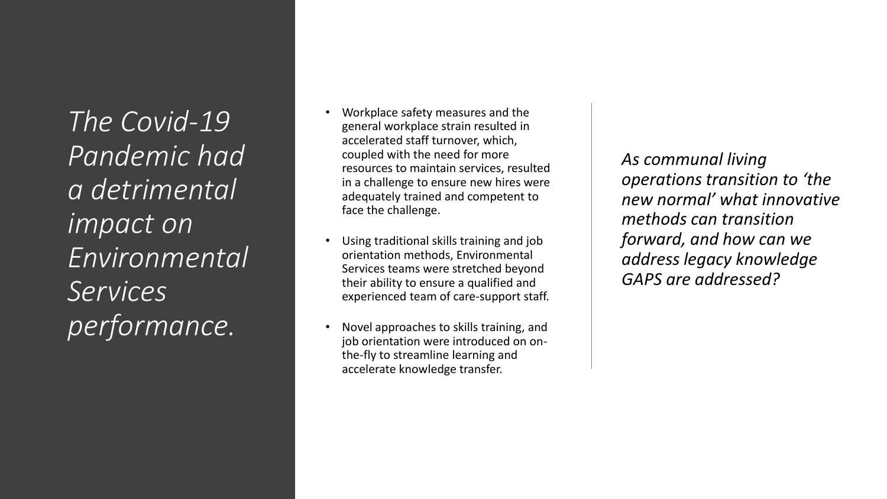*The Covid-19 Pandemic had a detrimental impact on Environmental Services performance.*

- Workplace safety measures and the general workplace strain resulted in accelerated staff turnover, which, coupled with the need for more resources to maintain services, resulted in a challenge to ensure new hires were adequately trained and competent to face the challenge.
- Using traditional skills training and job orientation methods, Environmental Services teams were stretched beyond their ability to ensure a qualified and experienced team of care-support staff.
- Novel approaches to skills training, and job orientation were introduced on onthe-fly to streamline learning and accelerate knowledge transfer.

*As communal living operations transition to 'the new normal' what innovative methods can transition forward, and how can we address legacy knowledge GAPS are addressed?*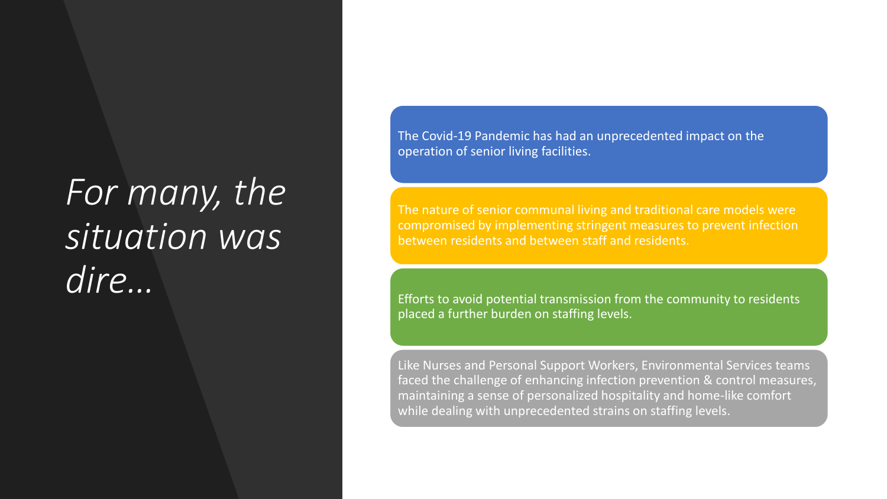# *For many, the situation was dire…*

The Covid-19 Pandemic has had an unprecedented impact on the operation of senior living facilities.

The nature of senior communal living and traditional care models were compromised by implementing stringent measures to prevent infection between residents and between staff and residents.

Efforts to avoid potential transmission from the community to residents placed a further burden on staffing levels.

Like Nurses and Personal Support Workers, Environmental Services teams faced the challenge of enhancing infection prevention & control measures, maintaining a sense of personalized hospitality and home-like comfort while dealing with unprecedented strains on staffing levels.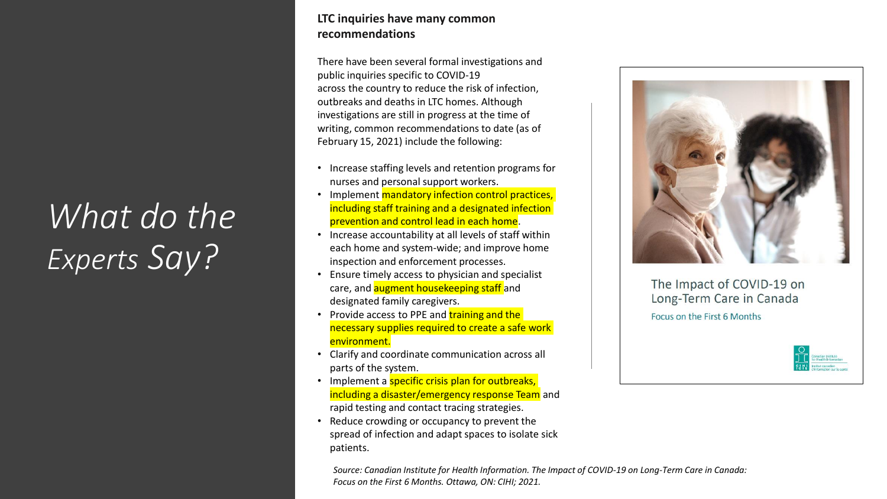## *What do the Experts Say?*

#### **LTC inquiries have many common recommendations**

There have been several formal investigations and public inquiries specific to COVID-19 across the country to reduce the risk of infection, outbreaks and deaths in LTC homes. Although investigations are still in progress at the time of writing, common recommendations to date (as of February 15, 2021) include the following:

- Increase staffing levels and retention programs for nurses and personal support workers.
- Implement mandatory infection control practices, including staff training and a designated infection prevention and control lead in each home.
- Increase accountability at all levels of staff within each home and system-wide; and improve home inspection and enforcement processes.
- Ensure timely access to physician and specialist care, and **augment housekeeping staff** and designated family caregivers.
- Provide access to PPE and training and the necessary supplies required to create a safe work environment.
- Clarify and coordinate communication across all parts of the system.
- Implement a specific crisis plan for outbreaks, including a disaster/emergency response Team and rapid testing and contact tracing strategies.
- Reduce crowding or occupancy to prevent the spread of infection and adapt spaces to isolate sick patients.





The Impact of COVID-19 on Long-Term Care in Canada Focus on the First 6 Months

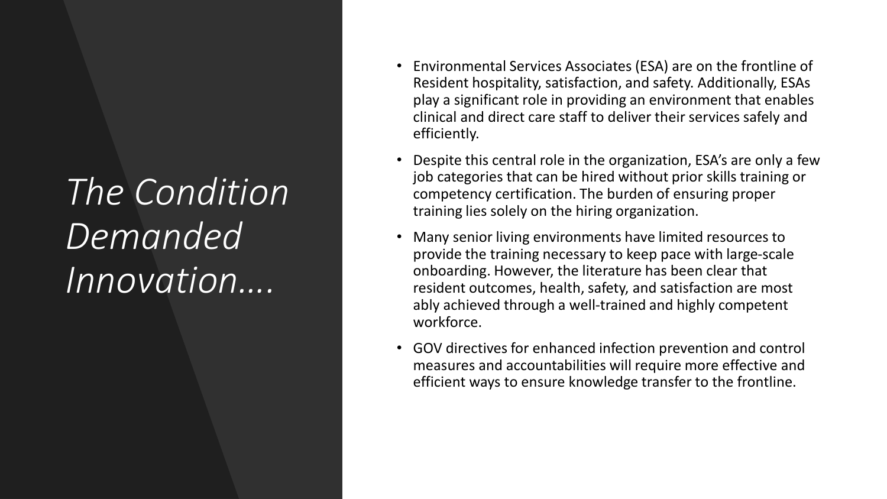# *The Condition Demanded Innovation….*

- Environmental Services Associates (ESA) are on the frontline of Resident hospitality, satisfaction, and safety. Additionally, ESAs play a significant role in providing an environment that enables clinical and direct care staff to deliver their services safely and efficiently.
- Despite this central role in the organization, ESA's are only a few job categories that can be hired without prior skills training or competency certification. The burden of ensuring proper training lies solely on the hiring organization.
- Many senior living environments have limited resources to provide the training necessary to keep pace with large-scale onboarding. However, the literature has been clear that resident outcomes, health, safety, and satisfaction are most ably achieved through a well-trained and highly competent workforce.
- GOV directives for enhanced infection prevention and control measures and accountabilities will require more effective and efficient ways to ensure knowledge transfer to the frontline.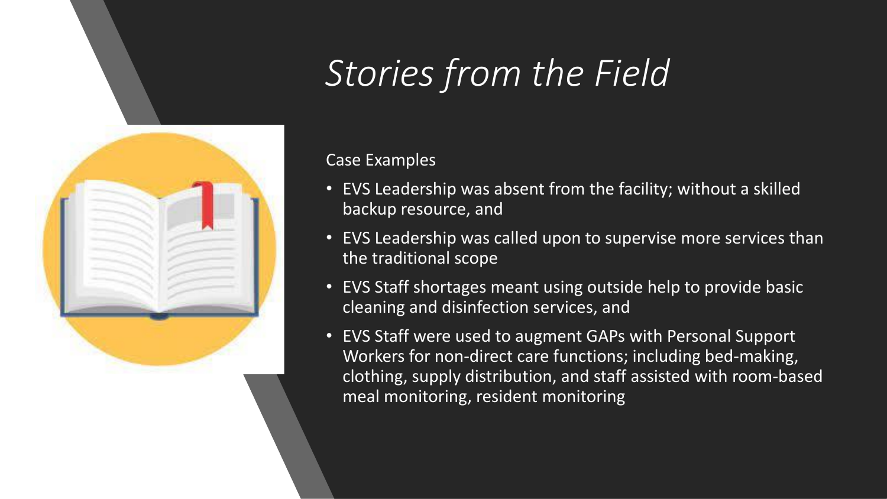

# *Stories from the Field*

### Case Examples

- EVS Leadership was absent from the facility; without a skilled backup resource, and
- EVS Leadership was called upon to supervise more services than the traditional scope
- EVS Staff shortages meant using outside help to provide basic cleaning and disinfection services, and
- EVS Staff were used to augment GAPs with Personal Support Workers for non-direct care functions; including bed-making, clothing, supply distribution, and staff assisted with room-based meal monitoring, resident monitoring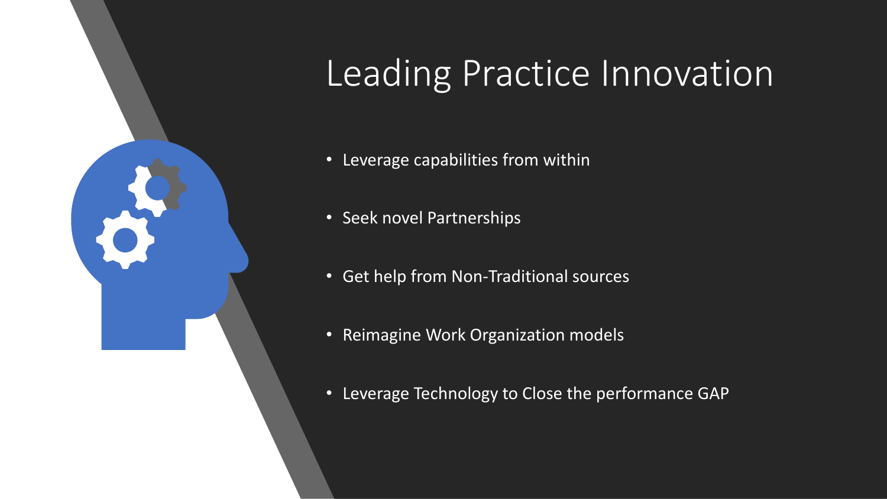

# Leading Practice Innovation

- Leverage capabilities from within
- Seek novel Partnerships
- Get help from Non-Traditional sources
- Reimagine Work Organization models
- Leverage Technology to Close the performance GAP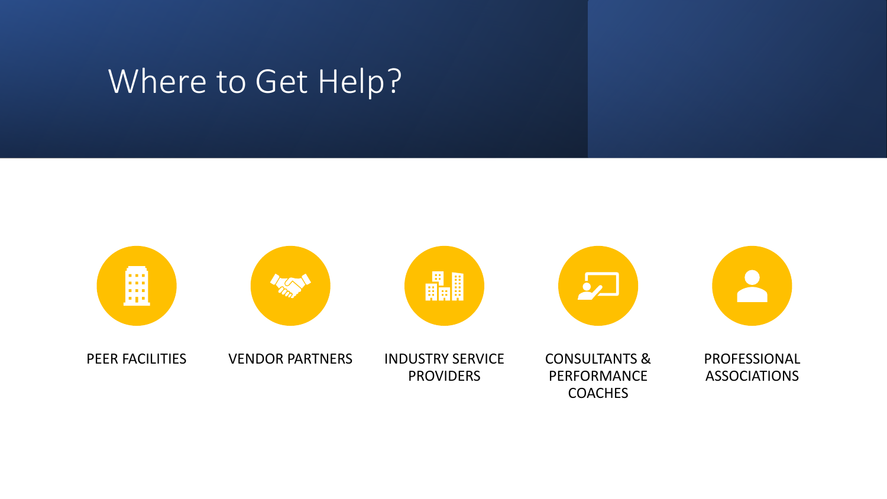## Where to Get Help?